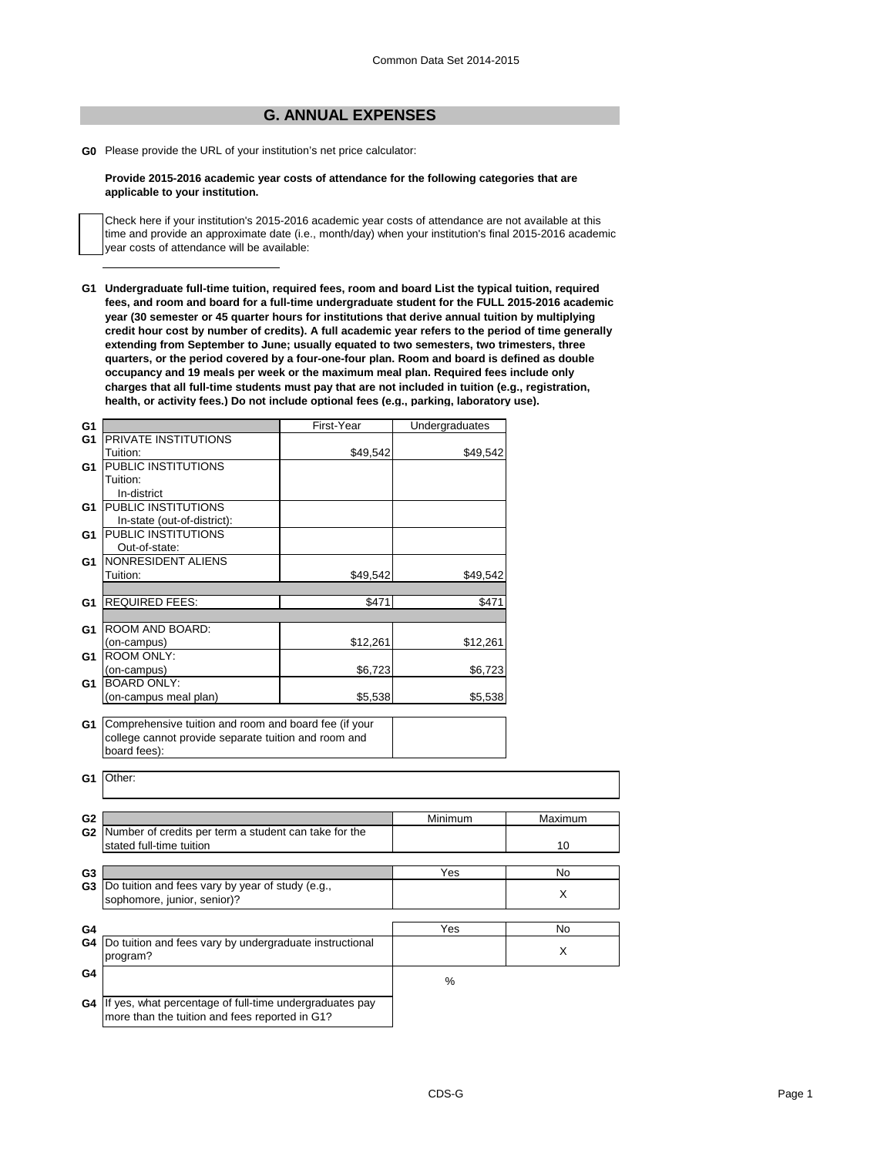## **G. ANNUAL EXPENSES**

**G0** Please provide the URL of your institution's net price calculator:

## **Provide 2015-2016 academic year costs of attendance for the following categories that are applicable to your institution.**

Check here if your institution's 2015-2016 academic year costs of attendance are not available at this time and provide an approximate date (i.e., month/day) when your institution's final 2015-2016 academic year costs of attendance will be available:

**G1 Undergraduate full-time tuition, required fees, room and board List the typical tuition, required fees, and room and board for a full-time undergraduate student for the FULL 2015-2016 academic year (30 semester or 45 quarter hours for institutions that derive annual tuition by multiplying credit hour cost by number of credits). A full academic year refers to the period of time generally extending from September to June; usually equated to two semesters, two trimesters, three quarters, or the period covered by a four-one-four plan. Room and board is defined as double occupancy and 19 meals per week or the maximum meal plan. Required fees include only charges that all full-time students must pay that are not included in tuition (e.g., registration, health, or activity fees.) Do not include optional fees (e.g., parking, laboratory use).**

| G1             |                                                            | First-Year | Undergraduates |         |
|----------------|------------------------------------------------------------|------------|----------------|---------|
| G <sub>1</sub> | PRIVATE INSTITUTIONS                                       |            |                |         |
|                | Tuition:                                                   | \$49,542   | \$49,542       |         |
| G1             | <b>PUBLIC INSTITUTIONS</b>                                 |            |                |         |
|                | Tuition:                                                   |            |                |         |
|                | In-district                                                |            |                |         |
| G1             | <b>PUBLIC INSTITUTIONS</b>                                 |            |                |         |
|                | In-state (out-of-district):                                |            |                |         |
| G1             | PUBLIC INSTITUTIONS                                        |            |                |         |
|                | Out-of-state:                                              |            |                |         |
| G1             | NONRESIDENT ALIENS                                         |            |                |         |
|                | Tuition:                                                   | \$49,542   | \$49,542       |         |
|                |                                                            |            |                |         |
| G1             | <b>REQUIRED FEES:</b>                                      | \$471      | \$471          |         |
|                |                                                            |            |                |         |
| G1             | ROOM AND BOARD:                                            |            |                |         |
|                | (on-campus)                                                | \$12,261   | \$12,261       |         |
| G1             | <b>ROOM ONLY:</b>                                          |            |                |         |
|                | (on-campus)                                                | \$6,723    | \$6,723        |         |
| G1             | <b>BOARD ONLY:</b>                                         |            |                |         |
|                | (on-campus meal plan)                                      | \$5,538    | \$5,538        |         |
|                |                                                            |            |                |         |
| G1             | Comprehensive tuition and room and board fee (if your      |            |                |         |
|                | college cannot provide separate tuition and room and       |            |                |         |
|                | board fees):                                               |            |                |         |
|                |                                                            |            |                |         |
| G1             | Other:                                                     |            |                |         |
|                |                                                            |            |                |         |
|                |                                                            |            |                |         |
| G <sub>2</sub> |                                                            |            | Minimum        | Maximum |
|                | G2 Number of credits per term a student can take for the   |            |                |         |
|                | stated full-time tuition                                   |            |                | 10      |
|                |                                                            |            |                |         |
| G3             |                                                            |            |                | No      |
|                |                                                            |            | Yes            |         |
| G <sub>3</sub> | Do tuition and fees vary by year of study (e.g.,           |            |                | X       |
|                | sophomore, junior, senior)?                                |            |                |         |
|                |                                                            |            |                |         |
| G4             |                                                            |            | Yes            | No      |
| G4             | Do tuition and fees vary by undergraduate instructional    |            |                | X       |
|                | program?                                                   |            |                |         |
| G4             |                                                            |            |                |         |
|                |                                                            |            | %              |         |
|                | G4 If yes, what percentage of full-time undergraduates pay |            |                |         |
|                | more than the tuition and fees reported in G1?             |            |                |         |
|                |                                                            |            |                |         |